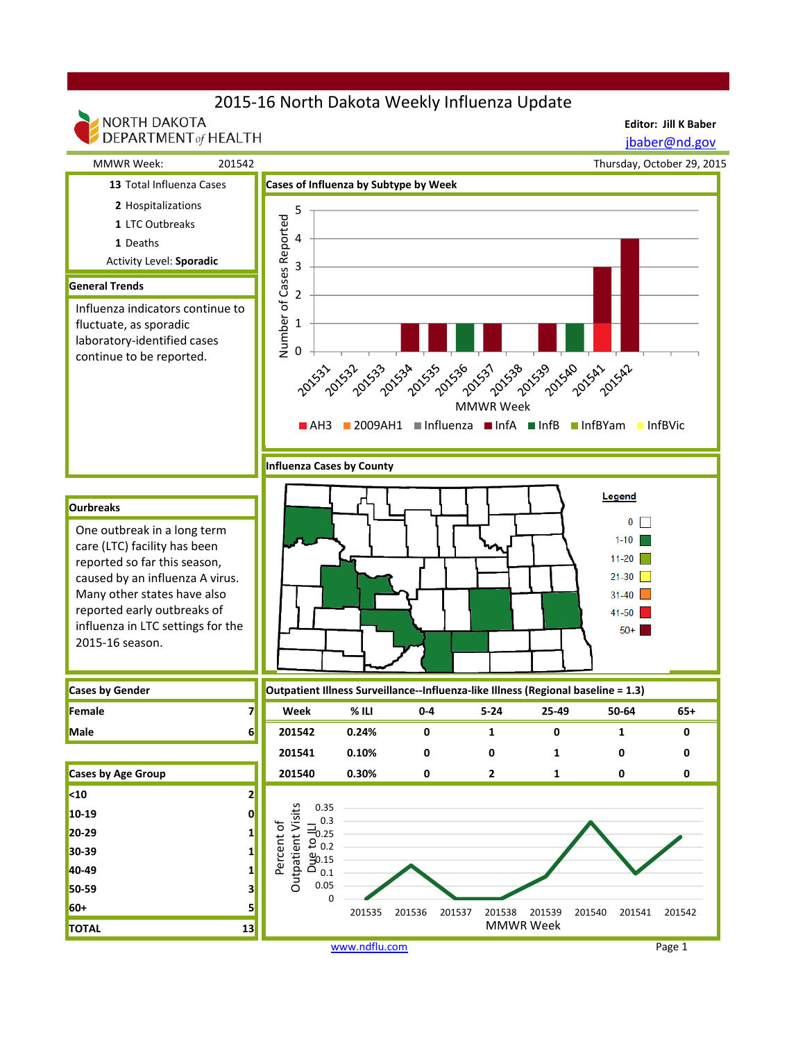# 2015-16 North Dakota Weekly Influenza Update

NORTH DAKOTA

**Editor: Jill K Baber**

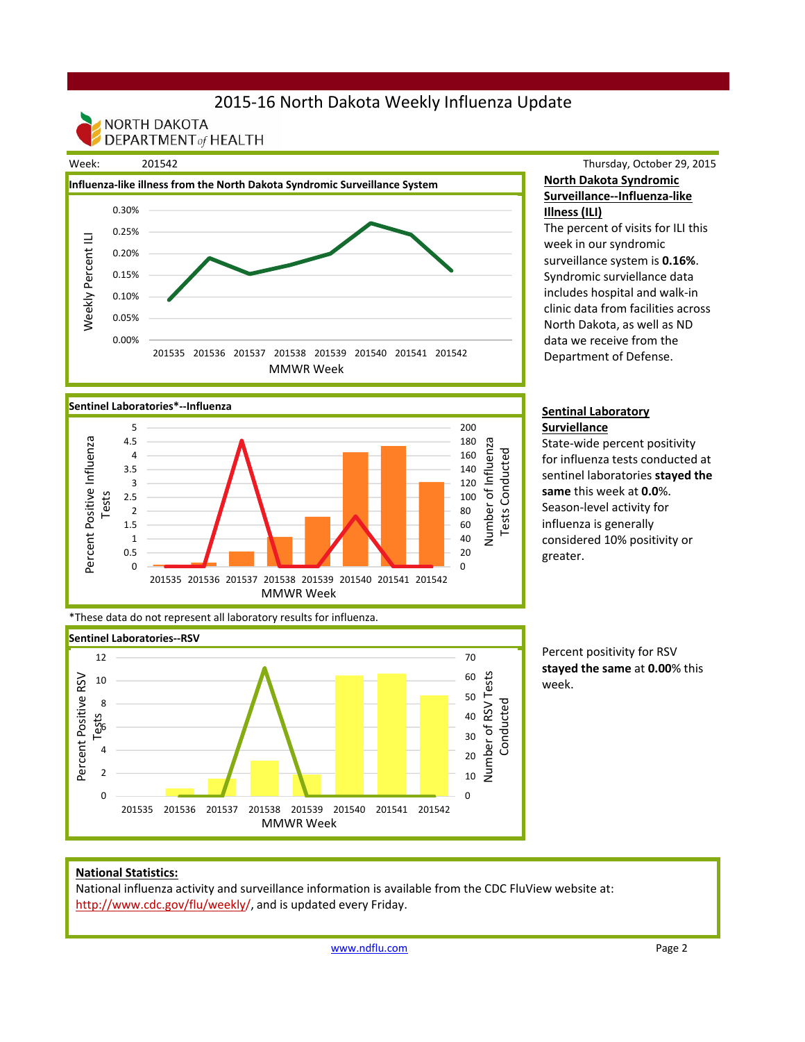# 2015-16 North Dakota Weekly Influenza Update

NORTH DAKOTA **DEPARTMENT** of HEALTH



## Thursday, October 29, 2015 **North Dakota Syndromic Surveillance--Influenza-like Illness (ILI)**

The percent of visits for ILI this week in our syndromic surveillance system is **0.16%**. Syndromic surviellance data includes hospital and walk-in clinic data from facilities across North Dakota, as well as ND data we receive from the Department of Defense.



State-wide percent positivity for influenza tests conducted at sentinel laboratories **stayed the same** this week at **0.0**%. Season-level activity for influenza is generally considered 10% positivity or greater.

Percent positivity for RSV **stayed the same** at **0.00**% this week.

#### **Sentinel Laboratories\*--Influenza** 5 200 Percent Positive Influenza Percent Positive Influenza 4.5 180 Number of Influenza Number of Influenza 160 **Tests Conducted** 4 Tests Conducted 3.5 140 120 3 Tests 2.5 100  $\overline{2}$ 80 1.5 60 40 1 0.5 20  $\Omega$  $\Omega$ 201535 201536 201537 201538 201539 201540 201541 201542 MMWR Week

\*These data do not represent all laboratory results for influenza.



### **National Statistics:**

National influenza activity and surveillance information is available from the CDC FluView website at: http://www.cdc.gov/flu/weekly/, and is updated every Friday.

www.ndflu.com Page 2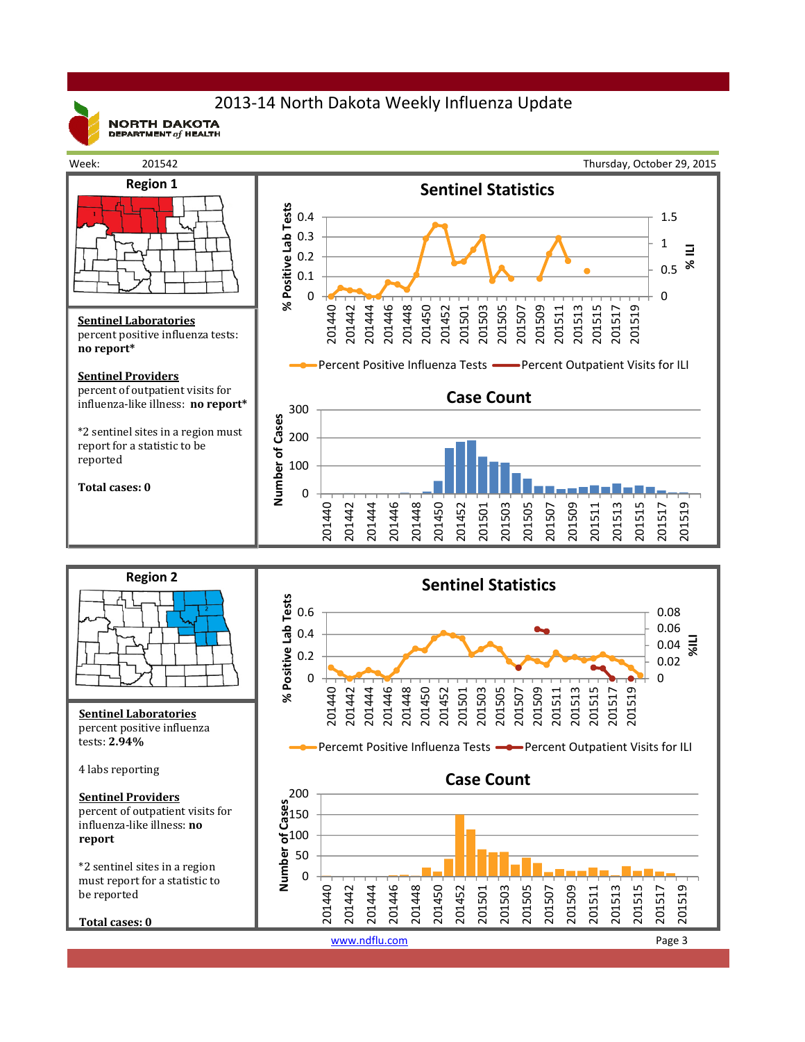

 $\mathsf{NORTH}{}$  DAKOTA<br>department  $_{\mathit{of}}$  health